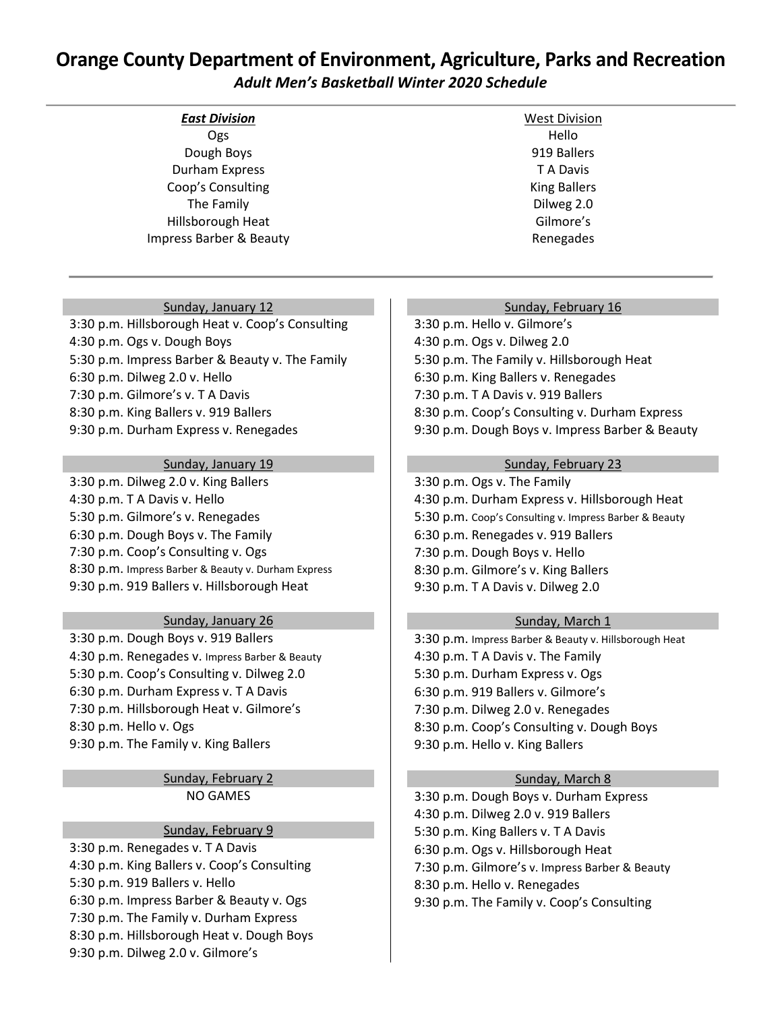# **Orange County Department of Environment, Agriculture, Parks and Recreation** *Adult Men's Basketball Winter 2020 Schedule*

| <b>East Division</b>               | <b>West Division</b> |
|------------------------------------|----------------------|
| Ogs                                | Hello                |
| Dough Boys                         | 919 Ballers          |
| Durham Express                     | T A Davis            |
| Coop's Consulting                  | <b>King Ballers</b>  |
| The Family                         | Dilweg 2.0           |
| Hillsborough Heat                  | Gilmore's            |
| <b>Impress Barber &amp; Beauty</b> | Renegades            |
|                                    |                      |

# Sunday, January 12

3:30 p.m. Hillsborough Heat v. Coop's Consulting 4:30 p.m. Ogs v. Dough Boys 5:30 p.m. Impress Barber & Beauty v. The Family 6:30 p.m. Dilweg 2.0 v. Hello 7:30 p.m. Gilmore's v. T A Davis 8:30 p.m. King Ballers v. 919 Ballers 9:30 p.m. Durham Express v. Renegades

## Sunday, January 19

3:30 p.m. Dilweg 2.0 v. King Ballers 4:30 p.m. T A Davis v. Hello 5:30 p.m. Gilmore's v. Renegades 6:30 p.m. Dough Boys v. The Family 7:30 p.m. Coop's Consulting v. Ogs 8:30 p.m. Impress Barber & Beauty v. Durham Express 9:30 p.m. 919 Ballers v. Hillsborough Heat

# Sunday, January 26

3:30 p.m. Dough Boys v. 919 Ballers 4:30 p.m. Renegades v. Impress Barber & Beauty 5:30 p.m. Coop's Consulting v. Dilweg 2.0 6:30 p.m. Durham Express v. T A Davis 7:30 p.m. Hillsborough Heat v. Gilmore's 8:30 p.m. Hello v. Ogs 9:30 p.m. The Family v. King Ballers

# Sunday, February 2 NO GAMES

#### Sunday, February 9

3:30 p.m. Renegades v. T A Davis 4:30 p.m. King Ballers v. Coop's Consulting 5:30 p.m. 919 Ballers v. Hello 6:30 p.m. Impress Barber & Beauty v. Ogs 7:30 p.m. The Family v. Durham Express 8:30 p.m. Hillsborough Heat v. Dough Boys 9:30 p.m. Dilweg 2.0 v. Gilmore's

#### Sunday, February 16

3:30 p.m. Hello v. Gilmore's 4:30 p.m. Ogs v. Dilweg 2.0 5:30 p.m. The Family v. Hillsborough Heat 6:30 p.m. King Ballers v. Renegades 7:30 p.m. T A Davis v. 919 Ballers 8:30 p.m. Coop's Consulting v. Durham Express 9:30 p.m. Dough Boys v. Impress Barber & Beauty

## Sunday, February 23

3:30 p.m. Ogs v. The Family 4:30 p.m. Durham Express v. Hillsborough Heat 5:30 p.m. Coop's Consulting v. Impress Barber & Beauty 6:30 p.m. Renegades v. 919 Ballers 7:30 p.m. Dough Boys v. Hello 8:30 p.m. Gilmore's v. King Ballers 9:30 p.m. T A Davis v. Dilweg 2.0

# Sunday, March 1

3:30 p.m. Impress Barber & Beauty v. Hillsborough Heat 4:30 p.m. T A Davis v. The Family 5:30 p.m. Durham Express v. Ogs 6:30 p.m. 919 Ballers v. Gilmore's 7:30 p.m. Dilweg 2.0 v. Renegades 8:30 p.m. Coop's Consulting v. Dough Boys 9:30 p.m. Hello v. King Ballers

# Sunday, March 8

3:30 p.m. Dough Boys v. Durham Express 4:30 p.m. Dilweg 2.0 v. 919 Ballers 5:30 p.m. King Ballers v. T A Davis 6:30 p.m. Ogs v. Hillsborough Heat 7:30 p.m. Gilmore's v. Impress Barber & Beauty 8:30 p.m. Hello v. Renegades 9:30 p.m. The Family v. Coop's Consulting